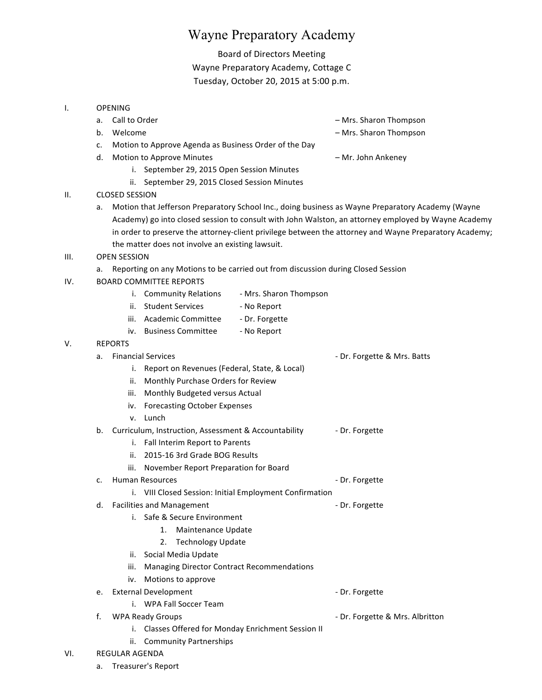# Wayne Preparatory Academy

Board of Directors Meeting Wayne Preparatory Academy, Cottage C Tuesday, October 20, 2015 at 5:00 p.m.

#### I. OPENING

- 
- 

a. Call to Order and the control of the control of the control of the control of the control of the control of the control of the control of the control of the control of the control of the control of the control of the co

- b. Welcome **b.** Welcome **and the state of the state of the state of the Mrs. Sharon Thompson**
- c. Motion to Approve Agenda as Business Order of the Day
- d. Motion to Approve Minutes **Example 20 and Ankeney** American Motion Ankeney
	-
	- i. September 29, 2015 Open Session Minutes
	- ii. September 29, 2015 Closed Session Minutes

# II. CLOSED SESSION

a. Motion that Jefferson Preparatory School Inc., doing business as Wayne Preparatory Academy (Wayne Academy) go into closed session to consult with John Walston, an attorney employed by Wayne Academy in order to preserve the attorney-client privilege between the attorney and Wayne Preparatory Academy; the matter does not involve an existing lawsuit.

## III. OPEN SESSION

- a. Reporting on any Motions to be carried out from discussion during Closed Session
- IV. BOARD COMMITTEE REPORTS

|  | <b>Community Relations</b> | - Mrs. Sharon Thompson |
|--|----------------------------|------------------------|
|--|----------------------------|------------------------|

- ii. Student Services No Report
- iii. Academic Committee Dr. Forgette
- iv. Business Committee No Report

## V. REPORTS

| а. | <b>Financial Services</b>                       | - Dr. Forgette & Mrs. Batts |
|----|-------------------------------------------------|-----------------------------|
|    | i. Report on Revenues (Federal, State, & Local) |                             |
|    | ii. Monthly Purchase Orders for Review          |                             |
|    | iii. Monthly Budgeted versus Actual             |                             |
|    | iv. Forecasting October Expenses                |                             |

- v. Lunch
- b. Curriculum, Instruction, Assessment & Accountability **The Handman** Dr. Forgette
	- i. Fall Interim Report to Parents
	- ii. 2015-16 3rd Grade BOG Results
	- iii. November Report Preparation for Board
- c. Human Resources and the property of the property of the Dr. Forgette
	- i. VIII Closed Session: Initial Employment Confirmation
- d. Facilities and Management Communication Communication Communication Communication Communication Communication
	- i. Safe & Secure Environment
		- 1. Maintenance Update
		- 2. Technology Update
	- ii. Social Media Update
	- iii. Managing Director Contract Recommendations
	- iv. Motions to approve
- e. External Development and the contract of the Dr. Forgette
	- i. WPA Fall Soccer Team
- 
- f. WPA Ready Groups **Accord Accord Contract Contract Accord Accord Contract Contract Contract Contract Contract Contract Contract Contract Contract Contract Contract Contract Contract Contract Contract Contract Contract Co** 
	- i. Classes Offered for Monday Enrichment Session II
	- ii. Community Partnerships

#### VI. REGULAR AGENDA

a. Treasurer's Report